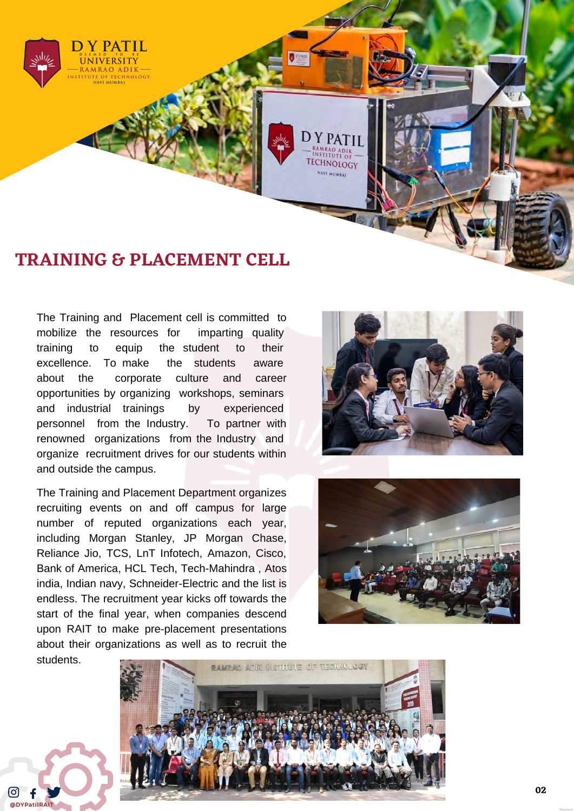

The Training and Placement cell is committed to mobilize the resources for imparting quality training to equip the student to their excellence. To make the students aware about the corporate culture and career opportunities by organizing workshops, seminars and industrial trainings by experienced personnel from the Industry. To partner with renowned organizations from the Industry and organize recruitment drives for our students within and outside the campus.

The Training and Placement Department organizes recruiting events on and off campus for large number of reputed organizations each year, including Morgan Stanley, JP Morgan Chase, Reliance Jio, TCS, LnT Infotech, Amazon, Cisco, Bank of America, HCL Tech, Tech-Mahindra , Atos india, Indian navy, Schneider-Electric and the list is endless. The recruitment year kicks off towards the start of the final year, when companies descend upon RAIT to make pre-placement presentations about their organizations as well as to recruit the students.







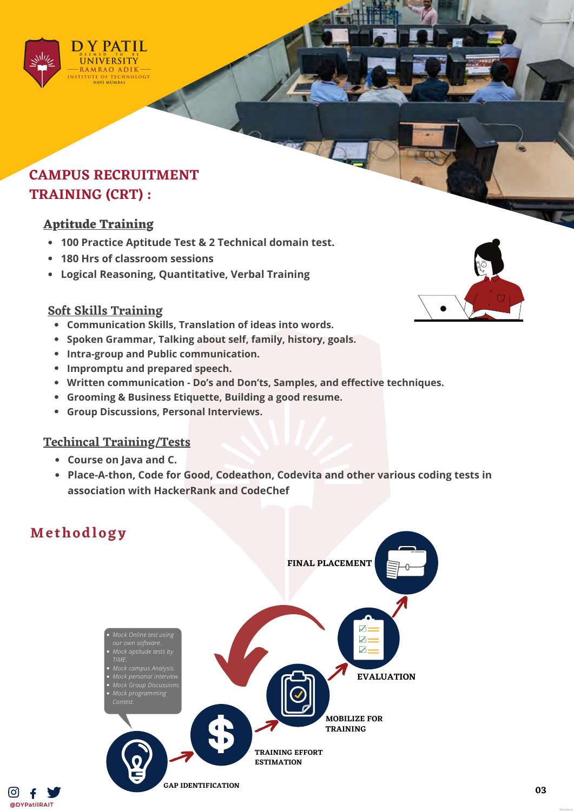

### **CAMPUS RECRUITMENT TRAINING (CRT) :**

### **Aptitude Training**

- **100 Practice Aptitude Test & 2 Technical domain test.**
- **180 Hrs of classroom sessions**
- **Logical Reasoning, Quantitative, Verbal Training**

#### **Soft Skills Training**

- **Communication Skills, Translation of ideas into words.**
- **Spoken Grammar, Talking about self, family, history, goals.**
- **Intra-group and Public communication.**
- **Impromptu and prepared speech.**
- **Written communication Do's and Don'ts, Samples, and effective techniques.**
- **Grooming & Business Etiquette, Building a good resume.**
- **Group Discussions, Personal Interviews.**

#### **Techincal Training/Tests**

- **Course on Java and C.**
- **Place-A-thon, Code for Good, Codeathon, Codevita and other various coding tests in association with HackerRank and CodeChef**

## **Methodlogy**

@DYPatilRAIT

[၀]